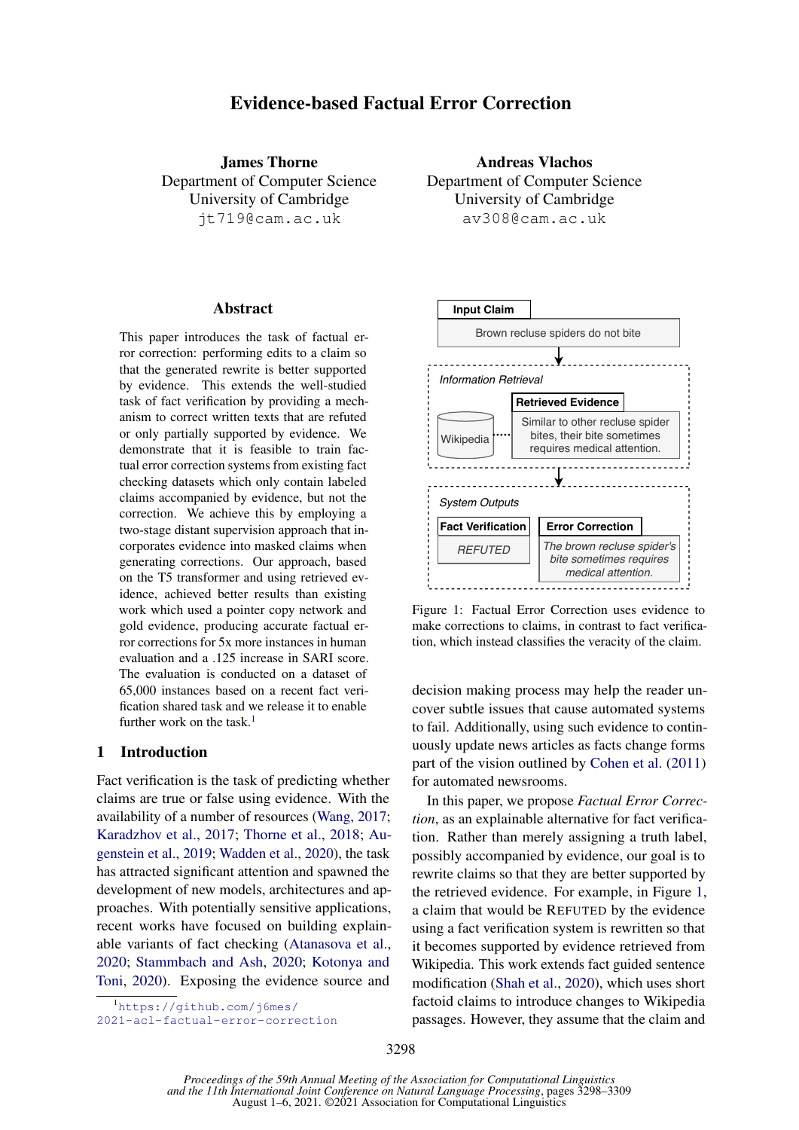# Evidence-based Factual Error Correction

James Thorne Department of Computer Science University of Cambridge jt719@cam.ac.uk

#### Abstract

This paper introduces the task of factual error correction: performing edits to a claim so that the generated rewrite is better supported by evidence. This extends the well-studied task of fact verification by providing a mechanism to correct written texts that are refuted or only partially supported by evidence. We demonstrate that it is feasible to train factual error correction systems from existing fact checking datasets which only contain labeled claims accompanied by evidence, but not the correction. We achieve this by employing a two-stage distant supervision approach that incorporates evidence into masked claims when generating corrections. Our approach, based on the T5 transformer and using retrieved evidence, achieved better results than existing work which used a pointer copy network and gold evidence, producing accurate factual error corrections for 5x more instances in human evaluation and a .125 increase in SARI score. The evaluation is conducted on a dataset of 65,000 instances based on a recent fact verification shared task and we release it to enable further work on the task.<sup>[1](#page-0-0)</sup>

### 1 Introduction

Fact verification is the task of predicting whether claims are true or false using evidence. With the availability of a number of resources [\(Wang,](#page-11-0) [2017;](#page-11-0) [Karadzhov et al.,](#page-9-0) [2017;](#page-9-0) [Thorne et al.,](#page-10-0) [2018;](#page-10-0) [Au](#page-9-1)[genstein et al.,](#page-9-1) [2019;](#page-9-1) [Wadden et al.,](#page-11-1) [2020\)](#page-11-1), the task has attracted significant attention and spawned the development of new models, architectures and approaches. With potentially sensitive applications, recent works have focused on building explainable variants of fact checking [\(Atanasova et al.,](#page-9-2) [2020;](#page-9-2) [Stammbach and Ash,](#page-10-1) [2020;](#page-10-1) [Kotonya and](#page-10-2) [Toni,](#page-10-2) [2020\)](#page-10-2). Exposing the evidence source and

Andreas Vlachos Department of Computer Science University of Cambridge av308@cam.ac.uk

<span id="page-0-1"></span>

Figure 1: Factual Error Correction uses evidence to make corrections to claims, in contrast to fact verification, which instead classifies the veracity of the claim.

decision making process may help the reader uncover subtle issues that cause automated systems to fail. Additionally, using such evidence to continuously update news articles as facts change forms part of the vision outlined by [Cohen et al.](#page-9-3) [\(2011\)](#page-9-3) for automated newsrooms.

In this paper, we propose *Factual Error Correction*, as an explainable alternative for fact verification. Rather than merely assigning a truth label, possibly accompanied by evidence, our goal is to rewrite claims so that they are better supported by the retrieved evidence. For example, in Figure [1,](#page-0-1) a claim that would be REFUTED by the evidence using a fact verification system is rewritten so that it becomes supported by evidence retrieved from Wikipedia. This work extends fact guided sentence modification [\(Shah et al.,](#page-10-3) [2020\)](#page-10-3), which uses short factoid claims to introduce changes to Wikipedia passages. However, they assume that the claim and

<span id="page-0-0"></span><sup>1</sup>[https://github.com/j6mes/](https://github.com/j6mes/2021-acl-factual-error-correction)

[<sup>2021-</sup>acl-factual-error-correction](https://github.com/j6mes/2021-acl-factual-error-correction)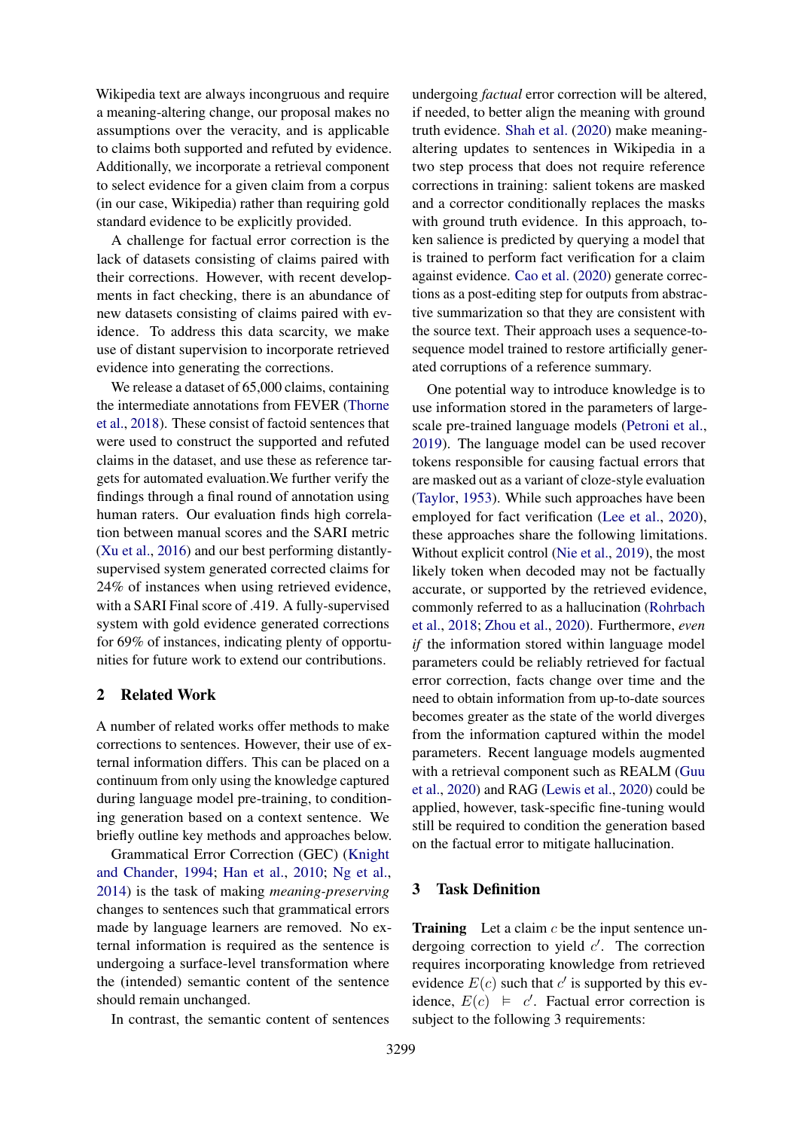Wikipedia text are always incongruous and require a meaning-altering change, our proposal makes no assumptions over the veracity, and is applicable to claims both supported and refuted by evidence. Additionally, we incorporate a retrieval component to select evidence for a given claim from a corpus (in our case, Wikipedia) rather than requiring gold standard evidence to be explicitly provided.

A challenge for factual error correction is the lack of datasets consisting of claims paired with their corrections. However, with recent developments in fact checking, there is an abundance of new datasets consisting of claims paired with evidence. To address this data scarcity, we make use of distant supervision to incorporate retrieved evidence into generating the corrections.

We release a dataset of 65,000 claims, containing the intermediate annotations from FEVER [\(Thorne](#page-10-0) [et al.,](#page-10-0) [2018\)](#page-10-0). These consist of factoid sentences that were used to construct the supported and refuted claims in the dataset, and use these as reference targets for automated evaluation.We further verify the findings through a final round of annotation using human raters. Our evaluation finds high correlation between manual scores and the SARI metric [\(Xu et al.,](#page-11-2) [2016\)](#page-11-2) and our best performing distantlysupervised system generated corrected claims for 24% of instances when using retrieved evidence, with a SARI Final score of .419. A fully-supervised system with gold evidence generated corrections for 69% of instances, indicating plenty of opportunities for future work to extend our contributions.

### 2 Related Work

A number of related works offer methods to make corrections to sentences. However, their use of external information differs. This can be placed on a continuum from only using the knowledge captured during language model pre-training, to conditioning generation based on a context sentence. We briefly outline key methods and approaches below.

Grammatical Error Correction (GEC) [\(Knight](#page-10-4) [and Chander,](#page-10-4) [1994;](#page-10-4) [Han et al.,](#page-9-4) [2010;](#page-9-4) [Ng et al.,](#page-10-5) [2014\)](#page-10-5) is the task of making *meaning-preserving* changes to sentences such that grammatical errors made by language learners are removed. No external information is required as the sentence is undergoing a surface-level transformation where the (intended) semantic content of the sentence should remain unchanged.

In contrast, the semantic content of sentences

undergoing *factual* error correction will be altered, if needed, to better align the meaning with ground truth evidence. [Shah et al.](#page-10-3) [\(2020\)](#page-10-3) make meaningaltering updates to sentences in Wikipedia in a two step process that does not require reference corrections in training: salient tokens are masked and a corrector conditionally replaces the masks with ground truth evidence. In this approach, token salience is predicted by querying a model that is trained to perform fact verification for a claim against evidence. [Cao et al.](#page-9-5) [\(2020\)](#page-9-5) generate corrections as a post-editing step for outputs from abstractive summarization so that they are consistent with the source text. Their approach uses a sequence-tosequence model trained to restore artificially generated corruptions of a reference summary.

One potential way to introduce knowledge is to use information stored in the parameters of largescale pre-trained language models [\(Petroni et al.,](#page-10-6) [2019\)](#page-10-6). The language model can be used recover tokens responsible for causing factual errors that are masked out as a variant of cloze-style evaluation [\(Taylor,](#page-10-7) [1953\)](#page-10-7). While such approaches have been employed for fact verification [\(Lee et al.,](#page-10-8) [2020\)](#page-10-8), these approaches share the following limitations. Without explicit control [\(Nie et al.,](#page-10-9) [2019\)](#page-10-9), the most likely token when decoded may not be factually accurate, or supported by the retrieved evidence, commonly referred to as a hallucination [\(Rohrbach](#page-10-10) [et al.,](#page-10-10) [2018;](#page-10-10) [Zhou et al.,](#page-11-3) [2020\)](#page-11-3). Furthermore, *even if* the information stored within language model parameters could be reliably retrieved for factual error correction, facts change over time and the need to obtain information from up-to-date sources becomes greater as the state of the world diverges from the information captured within the model parameters. Recent language models augmented with a retrieval component such as REALM [\(Guu](#page-9-6) [et al.,](#page-9-6) [2020\)](#page-9-6) and RAG [\(Lewis et al.,](#page-10-11) [2020\)](#page-10-11) could be applied, however, task-specific fine-tuning would still be required to condition the generation based on the factual error to mitigate hallucination.

## <span id="page-1-0"></span>3 Task Definition

**Training** Let a claim  $c$  be the input sentence undergoing correction to yield  $c'$ . The correction requires incorporating knowledge from retrieved evidence  $E(c)$  such that c' is supported by this evidence,  $E(c) \models c'$ . Factual error correction is subject to the following 3 requirements: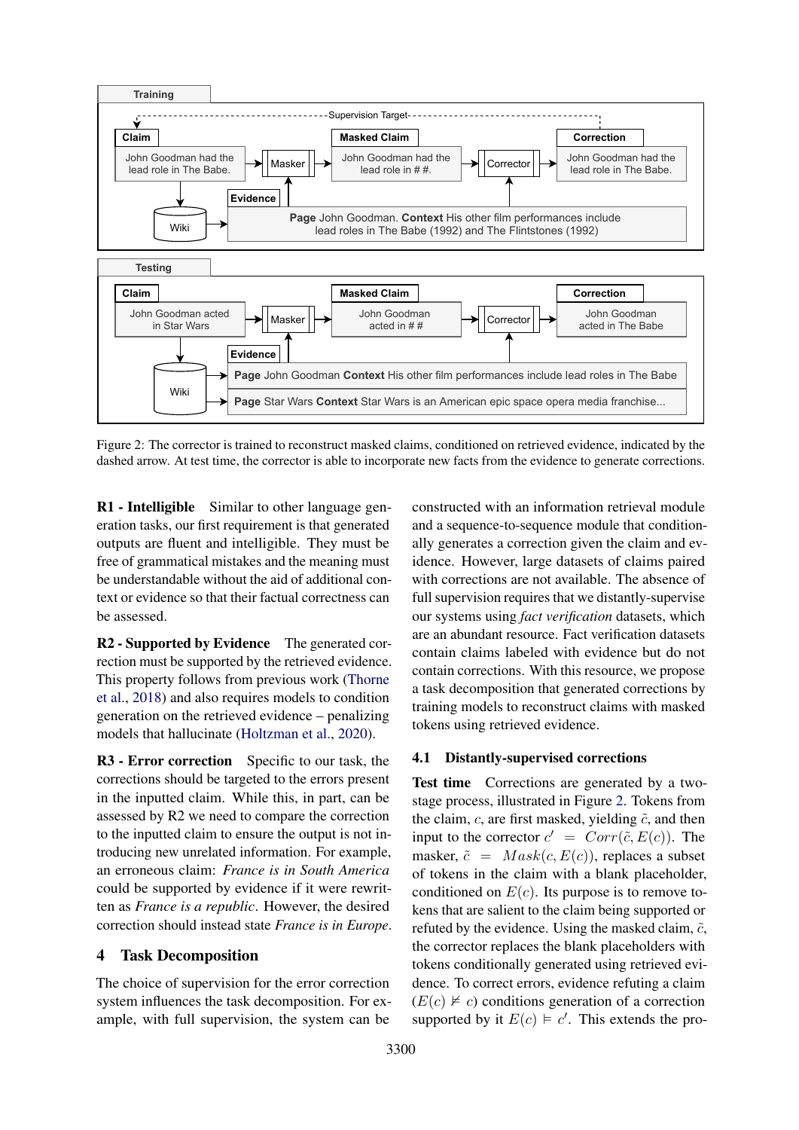<span id="page-2-0"></span>

Figure 2: The corrector is trained to reconstruct masked claims, conditioned on retrieved evidence, indicated by the dashed arrow. At test time, the corrector is able to incorporate new facts from the evidence to generate corrections.

R1 - Intelligible Similar to other language generation tasks, our first requirement is that generated outputs are fluent and intelligible. They must be free of grammatical mistakes and the meaning must be understandable without the aid of additional context or evidence so that their factual correctness can be assessed.

R2 - Supported by Evidence The generated correction must be supported by the retrieved evidence. This property follows from previous work [\(Thorne](#page-10-0) [et al.,](#page-10-0) [2018\)](#page-10-0) and also requires models to condition generation on the retrieved evidence – penalizing models that hallucinate [\(Holtzman et al.,](#page-9-7) [2020\)](#page-9-7).

R3 - Error correction Specific to our task, the corrections should be targeted to the errors present in the inputted claim. While this, in part, can be assessed by R2 we need to compare the correction to the inputted claim to ensure the output is not introducing new unrelated information. For example, an erroneous claim: *France is in South America* could be supported by evidence if it were rewritten as *France is a republic*. However, the desired correction should instead state *France is in Europe*.

#### 4 Task Decomposition

The choice of supervision for the error correction system influences the task decomposition. For example, with full supervision, the system can be

constructed with an information retrieval module and a sequence-to-sequence module that conditionally generates a correction given the claim and evidence. However, large datasets of claims paired with corrections are not available. The absence of full supervision requires that we distantly-supervise our systems using *fact verification* datasets, which are an abundant resource. Fact verification datasets contain claims labeled with evidence but do not contain corrections. With this resource, we propose a task decomposition that generated corrections by training models to reconstruct claims with masked tokens using retrieved evidence.

### <span id="page-2-1"></span>4.1 Distantly-supervised corrections

Test time Corrections are generated by a twostage process, illustrated in Figure [2.](#page-2-0) Tokens from the claim,  $c$ , are first masked, yielding  $\tilde{c}$ , and then input to the corrector  $c' = Corr(\tilde{c}, E(c))$ . The masker,  $\tilde{c} = Mask(c, E(c))$ , replaces a subset of tokens in the claim with a blank placeholder, conditioned on  $E(c)$ . Its purpose is to remove tokens that are salient to the claim being supported or refuted by the evidence. Using the masked claim,  $\tilde{c}$ , the corrector replaces the blank placeholders with tokens conditionally generated using retrieved evidence. To correct errors, evidence refuting a claim  $(E(c) \not\vDash c)$  conditions generation of a correction supported by it  $E(c) \models c'$ . This extends the pro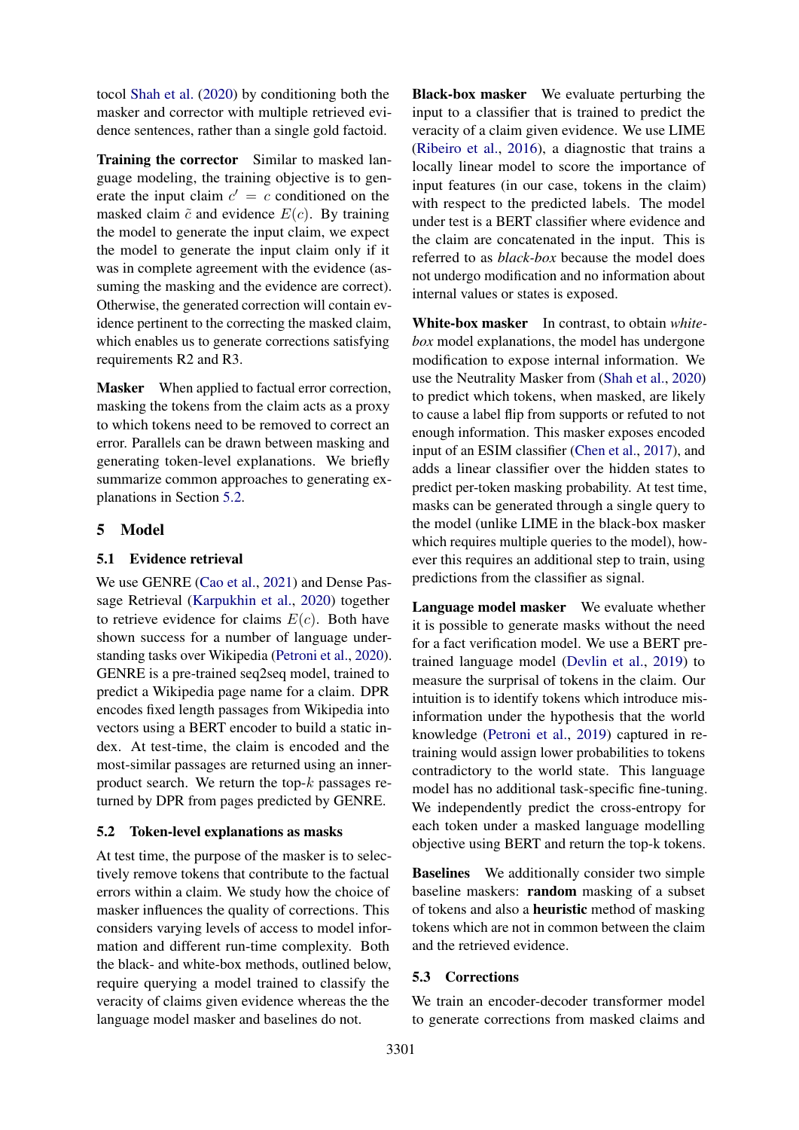tocol [Shah et al.](#page-10-3) [\(2020\)](#page-10-3) by conditioning both the masker and corrector with multiple retrieved evidence sentences, rather than a single gold factoid.

Training the corrector Similar to masked language modeling, the training objective is to generate the input claim  $c' = c$  conditioned on the masked claim  $\tilde{c}$  and evidence  $E(c)$ . By training the model to generate the input claim, we expect the model to generate the input claim only if it was in complete agreement with the evidence (assuming the masking and the evidence are correct). Otherwise, the generated correction will contain evidence pertinent to the correcting the masked claim, which enables us to generate corrections satisfying requirements R2 and R3.

Masker When applied to factual error correction, masking the tokens from the claim acts as a proxy to which tokens need to be removed to correct an error. Parallels can be drawn between masking and generating token-level explanations. We briefly summarize common approaches to generating explanations in Section [5.2.](#page-3-0)

### 5 Model

#### 5.1 Evidence retrieval

We use GENRE [\(Cao et al.,](#page-9-8) [2021\)](#page-9-8) and Dense Passage Retrieval [\(Karpukhin et al.,](#page-9-9) [2020\)](#page-9-9) together to retrieve evidence for claims  $E(c)$ . Both have shown success for a number of language understanding tasks over Wikipedia [\(Petroni et al.,](#page-10-12) [2020\)](#page-10-12). GENRE is a pre-trained seq2seq model, trained to predict a Wikipedia page name for a claim. DPR encodes fixed length passages from Wikipedia into vectors using a BERT encoder to build a static index. At test-time, the claim is encoded and the most-similar passages are returned using an innerproduct search. We return the top- $k$  passages returned by DPR from pages predicted by GENRE.

#### <span id="page-3-0"></span>5.2 Token-level explanations as masks

At test time, the purpose of the masker is to selectively remove tokens that contribute to the factual errors within a claim. We study how the choice of masker influences the quality of corrections. This considers varying levels of access to model information and different run-time complexity. Both the black- and white-box methods, outlined below, require querying a model trained to classify the veracity of claims given evidence whereas the the language model masker and baselines do not.

Black-box masker We evaluate perturbing the input to a classifier that is trained to predict the veracity of a claim given evidence. We use LIME [\(Ribeiro et al.,](#page-10-13) [2016\)](#page-10-13), a diagnostic that trains a locally linear model to score the importance of input features (in our case, tokens in the claim) with respect to the predicted labels. The model under test is a BERT classifier where evidence and the claim are concatenated in the input. This is referred to as *black-box* because the model does not undergo modification and no information about internal values or states is exposed.

White-box masker In contrast, to obtain *whitebox* model explanations, the model has undergone modification to expose internal information. We use the Neutrality Masker from [\(Shah et al.,](#page-10-3) [2020\)](#page-10-3) to predict which tokens, when masked, are likely to cause a label flip from supports or refuted to not enough information. This masker exposes encoded input of an ESIM classifier [\(Chen et al.,](#page-9-10) [2017\)](#page-9-10), and adds a linear classifier over the hidden states to predict per-token masking probability. At test time, masks can be generated through a single query to the model (unlike LIME in the black-box masker which requires multiple queries to the model), however this requires an additional step to train, using predictions from the classifier as signal.

Language model masker We evaluate whether it is possible to generate masks without the need for a fact verification model. We use a BERT pretrained language model [\(Devlin et al.,](#page-9-11) [2019\)](#page-9-11) to measure the surprisal of tokens in the claim. Our intuition is to identify tokens which introduce misinformation under the hypothesis that the world knowledge [\(Petroni et al.,](#page-10-6) [2019\)](#page-10-6) captured in retraining would assign lower probabilities to tokens contradictory to the world state. This language model has no additional task-specific fine-tuning. We independently predict the cross-entropy for each token under a masked language modelling objective using BERT and return the top-k tokens.

Baselines We additionally consider two simple baseline maskers: random masking of a subset of tokens and also a heuristic method of masking tokens which are not in common between the claim and the retrieved evidence.

#### 5.3 Corrections

We train an encoder-decoder transformer model to generate corrections from masked claims and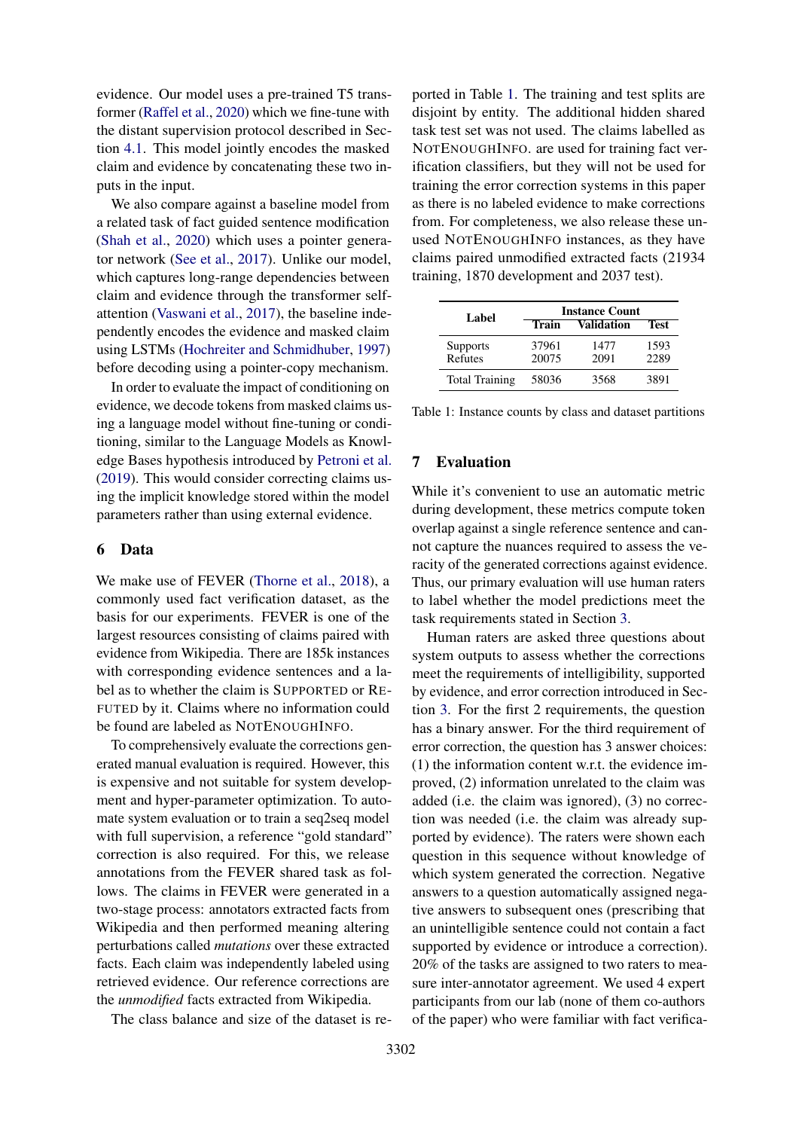evidence. Our model uses a pre-trained T5 transformer [\(Raffel et al.,](#page-10-14) [2020\)](#page-10-14) which we fine-tune with the distant supervision protocol described in Section [4.1.](#page-2-1) This model jointly encodes the masked claim and evidence by concatenating these two inputs in the input.

We also compare against a baseline model from a related task of fact guided sentence modification [\(Shah et al.,](#page-10-3) [2020\)](#page-10-3) which uses a pointer generator network [\(See et al.,](#page-10-15) [2017\)](#page-10-15). Unlike our model, which captures long-range dependencies between claim and evidence through the transformer selfattention [\(Vaswani et al.,](#page-10-16) [2017\)](#page-10-16), the baseline independently encodes the evidence and masked claim using LSTMs [\(Hochreiter and Schmidhuber,](#page-9-12) [1997\)](#page-9-12) before decoding using a pointer-copy mechanism.

In order to evaluate the impact of conditioning on evidence, we decode tokens from masked claims using a language model without fine-tuning or conditioning, similar to the Language Models as Knowledge Bases hypothesis introduced by [Petroni et al.](#page-10-6) [\(2019\)](#page-10-6). This would consider correcting claims using the implicit knowledge stored within the model parameters rather than using external evidence.

#### <span id="page-4-1"></span>6 Data

We make use of FEVER [\(Thorne et al.,](#page-10-0) [2018\)](#page-10-0), a commonly used fact verification dataset, as the basis for our experiments. FEVER is one of the largest resources consisting of claims paired with evidence from Wikipedia. There are 185k instances with corresponding evidence sentences and a label as to whether the claim is SUPPORTED or RE-FUTED by it. Claims where no information could be found are labeled as NOTENOUGHINFO.

To comprehensively evaluate the corrections generated manual evaluation is required. However, this is expensive and not suitable for system development and hyper-parameter optimization. To automate system evaluation or to train a seq2seq model with full supervision, a reference "gold standard" correction is also required. For this, we release annotations from the FEVER shared task as follows. The claims in FEVER were generated in a two-stage process: annotators extracted facts from Wikipedia and then performed meaning altering perturbations called *mutations* over these extracted facts. Each claim was independently labeled using retrieved evidence. Our reference corrections are the *unmodified* facts extracted from Wikipedia.

The class balance and size of the dataset is re-

ported in Table [1.](#page-4-0) The training and test splits are disjoint by entity. The additional hidden shared task test set was not used. The claims labelled as NOTENOUGHINFO. are used for training fact verification classifiers, but they will not be used for training the error correction systems in this paper as there is no labeled evidence to make corrections from. For completeness, we also release these unused NOTENOUGHINFO instances, as they have claims paired unmodified extracted facts (21934 training, 1870 development and 2037 test).

<span id="page-4-0"></span>

| Label                      | <b>Instance Count</b> |                   |              |  |  |
|----------------------------|-----------------------|-------------------|--------------|--|--|
|                            | Train                 | <b>Validation</b> |              |  |  |
| <b>Supports</b><br>Refutes | 37961<br>20075        | 1477<br>2091      | 1593<br>2289 |  |  |
| <b>Total Training</b>      | 58036                 | 3568              | 3891         |  |  |

Table 1: Instance counts by class and dataset partitions

## 7 Evaluation

While it's convenient to use an automatic metric during development, these metrics compute token overlap against a single reference sentence and cannot capture the nuances required to assess the veracity of the generated corrections against evidence. Thus, our primary evaluation will use human raters to label whether the model predictions meet the task requirements stated in Section [3.](#page-1-0)

Human raters are asked three questions about system outputs to assess whether the corrections meet the requirements of intelligibility, supported by evidence, and error correction introduced in Section [3.](#page-1-0) For the first 2 requirements, the question has a binary answer. For the third requirement of error correction, the question has 3 answer choices: (1) the information content w.r.t. the evidence improved, (2) information unrelated to the claim was added (i.e. the claim was ignored), (3) no correction was needed (i.e. the claim was already supported by evidence). The raters were shown each question in this sequence without knowledge of which system generated the correction. Negative answers to a question automatically assigned negative answers to subsequent ones (prescribing that an unintelligible sentence could not contain a fact supported by evidence or introduce a correction). 20% of the tasks are assigned to two raters to measure inter-annotator agreement. We used 4 expert participants from our lab (none of them co-authors of the paper) who were familiar with fact verifica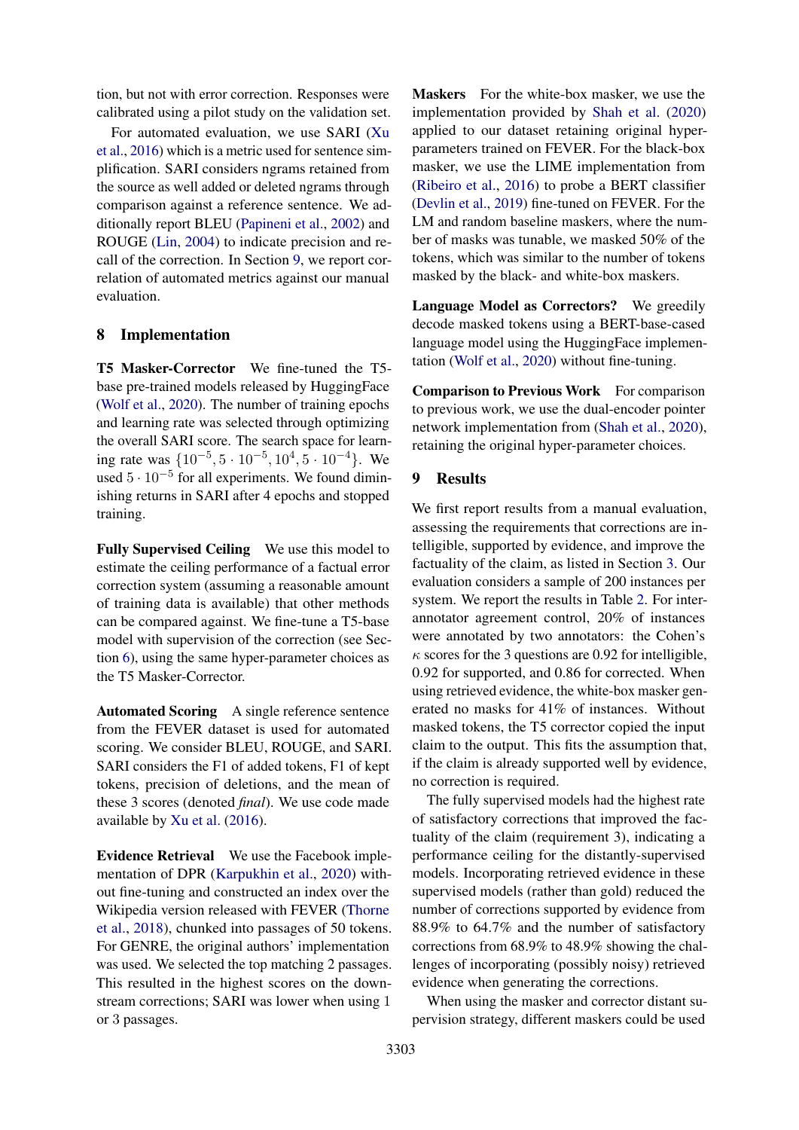tion, but not with error correction. Responses were calibrated using a pilot study on the validation set.

For automated evaluation, we use SARI [\(Xu](#page-11-2) [et al.,](#page-11-2) [2016\)](#page-11-2) which is a metric used for sentence simplification. SARI considers ngrams retained from the source as well added or deleted ngrams through comparison against a reference sentence. We additionally report BLEU [\(Papineni et al.,](#page-10-17) [2002\)](#page-10-17) and ROUGE [\(Lin,](#page-10-18) [2004\)](#page-10-18) to indicate precision and recall of the correction. In Section [9,](#page-5-0) we report correlation of automated metrics against our manual evaluation.

#### 8 Implementation

T5 Masker-Corrector We fine-tuned the T5 base pre-trained models released by HuggingFace [\(Wolf et al.,](#page-11-4) [2020\)](#page-11-4). The number of training epochs and learning rate was selected through optimizing the overall SARI score. The search space for learning rate was  $\{10^{-5}, 5 \cdot 10^{-5}, 10^{4}, 5 \cdot 10^{-4}\}$ . We used  $5 \cdot 10^{-5}$  for all experiments. We found diminishing returns in SARI after 4 epochs and stopped training.

Fully Supervised Ceiling We use this model to estimate the ceiling performance of a factual error correction system (assuming a reasonable amount of training data is available) that other methods can be compared against. We fine-tune a T5-base model with supervision of the correction (see Section [6\)](#page-4-1), using the same hyper-parameter choices as the T5 Masker-Corrector.

Automated Scoring A single reference sentence from the FEVER dataset is used for automated scoring. We consider BLEU, ROUGE, and SARI. SARI considers the F1 of added tokens, F1 of kept tokens, precision of deletions, and the mean of these 3 scores (denoted *final*). We use code made available by [Xu et al.](#page-11-2) [\(2016\)](#page-11-2).

Evidence Retrieval We use the Facebook implementation of DPR [\(Karpukhin et al.,](#page-9-9) [2020\)](#page-9-9) without fine-tuning and constructed an index over the Wikipedia version released with FEVER [\(Thorne](#page-10-0) [et al.,](#page-10-0) [2018\)](#page-10-0), chunked into passages of 50 tokens. For GENRE, the original authors' implementation was used. We selected the top matching 2 passages. This resulted in the highest scores on the downstream corrections; SARI was lower when using 1 or 3 passages.

Maskers For the white-box masker, we use the implementation provided by [Shah et al.](#page-10-3) [\(2020\)](#page-10-3) applied to our dataset retaining original hyperparameters trained on FEVER. For the black-box masker, we use the LIME implementation from [\(Ribeiro et al.,](#page-10-13) [2016\)](#page-10-13) to probe a BERT classifier [\(Devlin et al.,](#page-9-11) [2019\)](#page-9-11) fine-tuned on FEVER. For the LM and random baseline maskers, where the number of masks was tunable, we masked 50% of the tokens, which was similar to the number of tokens masked by the black- and white-box maskers.

Language Model as Correctors? We greedily decode masked tokens using a BERT-base-cased language model using the HuggingFace implementation [\(Wolf et al.,](#page-11-4) [2020\)](#page-11-4) without fine-tuning.

Comparison to Previous Work For comparison to previous work, we use the dual-encoder pointer network implementation from [\(Shah et al.,](#page-10-3) [2020\)](#page-10-3), retaining the original hyper-parameter choices.

## <span id="page-5-0"></span>9 Results

We first report results from a manual evaluation, assessing the requirements that corrections are intelligible, supported by evidence, and improve the factuality of the claim, as listed in Section [3.](#page-1-0) Our evaluation considers a sample of 200 instances per system. We report the results in Table [2.](#page-6-0) For interannotator agreement control, 20% of instances were annotated by two annotators: the Cohen's  $\kappa$  scores for the 3 questions are 0.92 for intelligible, 0.92 for supported, and 0.86 for corrected. When using retrieved evidence, the white-box masker generated no masks for 41% of instances. Without masked tokens, the T5 corrector copied the input claim to the output. This fits the assumption that, if the claim is already supported well by evidence, no correction is required.

The fully supervised models had the highest rate of satisfactory corrections that improved the factuality of the claim (requirement 3), indicating a performance ceiling for the distantly-supervised models. Incorporating retrieved evidence in these supervised models (rather than gold) reduced the number of corrections supported by evidence from 88.9% to 64.7% and the number of satisfactory corrections from 68.9% to 48.9% showing the challenges of incorporating (possibly noisy) retrieved evidence when generating the corrections.

When using the masker and corrector distant supervision strategy, different maskers could be used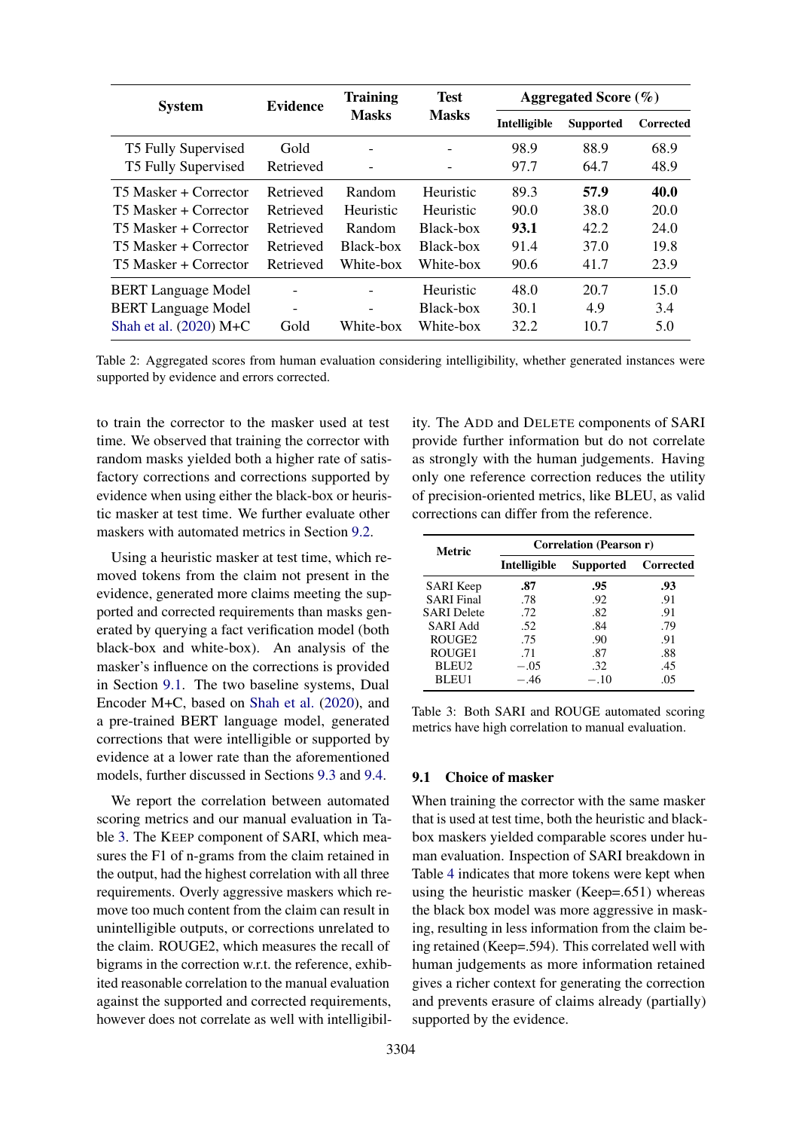<span id="page-6-0"></span>

| <b>System</b>              | <b>Evidence</b>              | <b>Training</b>          | <b>Test</b>  | Aggregated Score $(\% )$ |                  |                  |
|----------------------------|------------------------------|--------------------------|--------------|--------------------------|------------------|------------------|
|                            |                              | <b>Masks</b>             | <b>Masks</b> | Intelligible             | <b>Supported</b> | <b>Corrected</b> |
| T5 Fully Supervised        | Gold                         | $\overline{\phantom{0}}$ |              | 98.9                     | 88.9             | 68.9             |
| T5 Fully Supervised        | Retrieved                    | $\overline{\phantom{0}}$ |              | 97.7                     | 64.7             | 48.9             |
| T5 Masker + Corrector      | Retrieved                    | Random                   | Heuristic    | 89.3                     | 57.9             | 40.0             |
| T5 Masker + Corrector      | Retrieved                    | Heuristic                | Heuristic    | 90.0                     | 38.0             | 20.0             |
| T5 Masker + Corrector      | Retrieved                    | Random                   | Black-box    | 93.1                     | 42.2             | 24.0             |
| T5 Masker + Corrector      | Retrieved                    | Black-box                | Black-box    | 91.4                     | 37.0             | 19.8             |
| T5 Masker + Corrector      | Retrieved                    | White-box                | White-box    | 90.6                     | 41.7             | 23.9             |
| <b>BERT</b> Language Model | $\overline{\phantom{0}}$     |                          | Heuristic    | 48.0                     | 20.7             | 15.0             |
| <b>BERT</b> Language Model | $\qquad \qquad \blacksquare$ |                          | Black-box    | 30.1                     | 4.9              | 3.4              |
| Shah et al. $(2020)$ M+C   | Gold                         | White-box                | White-box    | 32.2                     | 10.7             | 5.0              |

Table 2: Aggregated scores from human evaluation considering intelligibility, whether generated instances were supported by evidence and errors corrected.

to train the corrector to the masker used at test time. We observed that training the corrector with random masks yielded both a higher rate of satisfactory corrections and corrections supported by evidence when using either the black-box or heuristic masker at test time. We further evaluate other maskers with automated metrics in Section [9.2.](#page-7-0)

Using a heuristic masker at test time, which removed tokens from the claim not present in the evidence, generated more claims meeting the supported and corrected requirements than masks generated by querying a fact verification model (both black-box and white-box). An analysis of the masker's influence on the corrections is provided in Section [9.1.](#page-6-1) The two baseline systems, Dual Encoder M+C, based on [Shah et al.](#page-10-3) [\(2020\)](#page-10-3), and a pre-trained BERT language model, generated corrections that were intelligible or supported by evidence at a lower rate than the aforementioned models, further discussed in Sections [9.3](#page-7-1) and [9.4.](#page-7-2)

We report the correlation between automated scoring metrics and our manual evaluation in Table [3.](#page-6-2) The KEEP component of SARI, which measures the F1 of n-grams from the claim retained in the output, had the highest correlation with all three requirements. Overly aggressive maskers which remove too much content from the claim can result in unintelligible outputs, or corrections unrelated to the claim. ROUGE2, which measures the recall of bigrams in the correction w.r.t. the reference, exhibited reasonable correlation to the manual evaluation against the supported and corrected requirements, however does not correlate as well with intelligibil-

ity. The ADD and DELETE components of SARI provide further information but do not correlate as strongly with the human judgements. Having only one reference correction reduces the utility of precision-oriented metrics, like BLEU, as valid corrections can differ from the reference.

<span id="page-6-2"></span>

| Metric             | Correlation (Pearson r) |                  |           |  |  |
|--------------------|-------------------------|------------------|-----------|--|--|
|                    | Intelligible            | <b>Supported</b> | Corrected |  |  |
| <b>SARI</b> Keep   | .87                     | .95              | .93       |  |  |
| <b>SARI</b> Final  | .78                     | .92              | .91       |  |  |
| <b>SARI</b> Delete | .72                     | .82              | .91       |  |  |
| <b>SARI Add</b>    | .52                     | .84              | .79       |  |  |
| ROUGE <sub>2</sub> | .75                     | .90              | .91       |  |  |
| ROUGE1             | .71                     | .87              | .88       |  |  |
| BLEU <sub>2</sub>  | $-.05$                  | .32              | .45       |  |  |
| BLEU1              | $-.46$                  | $-.10$           | .05       |  |  |

Table 3: Both SARI and ROUGE automated scoring metrics have high correlation to manual evaluation.

#### <span id="page-6-1"></span>9.1 Choice of masker

When training the corrector with the same masker that is used at test time, both the heuristic and blackbox maskers yielded comparable scores under human evaluation. Inspection of SARI breakdown in Table [4](#page-7-3) indicates that more tokens were kept when using the heuristic masker (Keep=.651) whereas the black box model was more aggressive in masking, resulting in less information from the claim being retained (Keep=.594). This correlated well with human judgements as more information retained gives a richer context for generating the correction and prevents erasure of claims already (partially) supported by the evidence.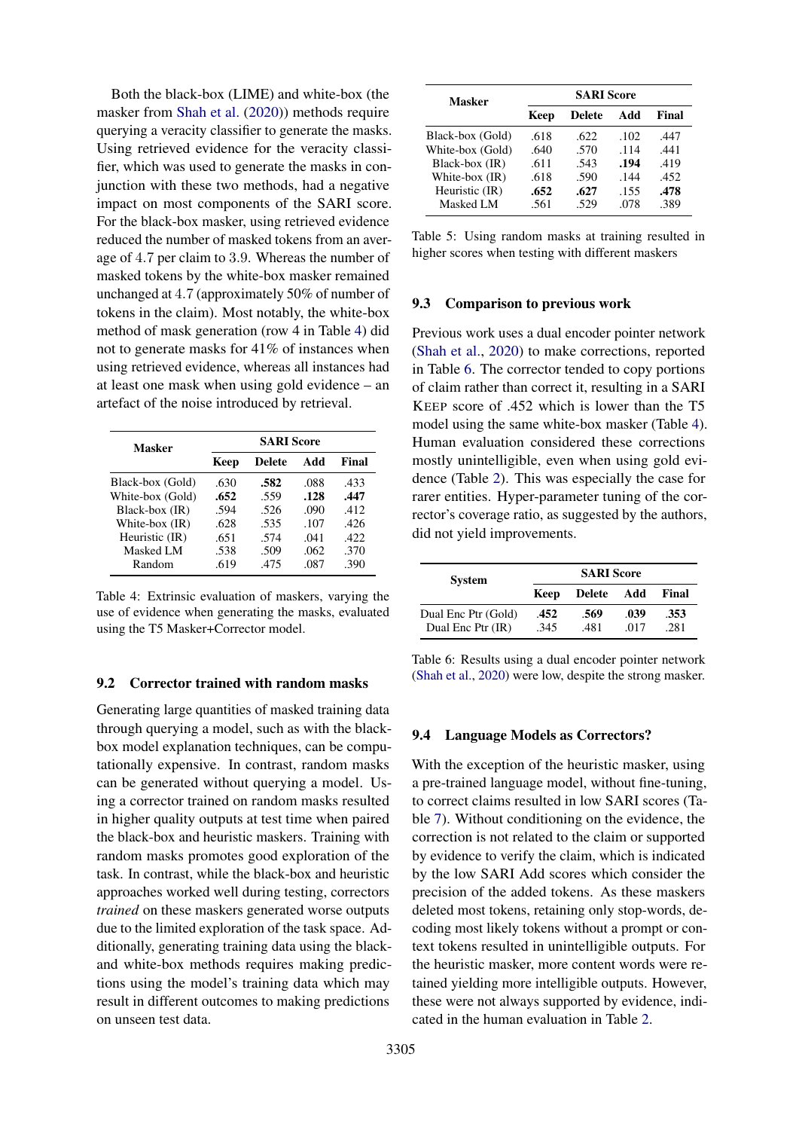Both the black-box (LIME) and white-box (the masker from [Shah et al.](#page-10-3) [\(2020\)](#page-10-3)) methods require querying a veracity classifier to generate the masks. Using retrieved evidence for the veracity classifier, which was used to generate the masks in conjunction with these two methods, had a negative impact on most components of the SARI score. For the black-box masker, using retrieved evidence reduced the number of masked tokens from an average of 4.7 per claim to 3.9. Whereas the number of masked tokens by the white-box masker remained unchanged at 4.7 (approximately 50% of number of tokens in the claim). Most notably, the white-box method of mask generation (row 4 in Table [4\)](#page-7-3) did not to generate masks for 41% of instances when using retrieved evidence, whereas all instances had at least one mask when using gold evidence – an artefact of the noise introduced by retrieval.

<span id="page-7-3"></span>

| Masker           | <b>SARI Score</b> |        |      |       |
|------------------|-------------------|--------|------|-------|
|                  | Keep              | Delete | Add  | Final |
| Black-box (Gold) | .630              | .582   | .088 | .433  |
| White-box (Gold) | .652              | .559   | .128 | .447  |
| Black-box (IR)   | .594              | .526   | .090 | .412  |
| White-box (IR)   | .628              | .535   | .107 | .426  |
| Heuristic (IR)   | .651              | .574   | .041 | .422  |
| Masked LM        | .538              | .509   | .062 | .370  |
| Random           | .619              | .475   | .087 | .390  |

Table 4: Extrinsic evaluation of maskers, varying the use of evidence when generating the masks, evaluated using the T5 Masker+Corrector model.

#### <span id="page-7-0"></span>9.2 Corrector trained with random masks

Generating large quantities of masked training data through querying a model, such as with the blackbox model explanation techniques, can be computationally expensive. In contrast, random masks can be generated without querying a model. Using a corrector trained on random masks resulted in higher quality outputs at test time when paired the black-box and heuristic maskers. Training with random masks promotes good exploration of the task. In contrast, while the black-box and heuristic approaches worked well during testing, correctors *trained* on these maskers generated worse outputs due to the limited exploration of the task space. Additionally, generating training data using the blackand white-box methods requires making predictions using the model's training data which may result in different outcomes to making predictions on unseen test data.

| Masker           | <b>SARI Score</b> |               |      |       |
|------------------|-------------------|---------------|------|-------|
|                  | Keep              | <b>Delete</b> | Add  | Final |
| Black-box (Gold) | .618              | .622          | .102 | .447  |
| White-box (Gold) | .640              | .570          | .114 | .441  |
| Black-box (IR)   | .611              | .543          | .194 | .419  |
| White-box (IR)   | .618              | .590          | .144 | .452  |
| Heuristic (IR)   | .652              | .627          | .155 | .478  |
| Masked LM        | .561              | .529          | .078 | .389  |

Table 5: Using random masks at training resulted in higher scores when testing with different maskers

#### <span id="page-7-1"></span>9.3 Comparison to previous work

Previous work uses a dual encoder pointer network [\(Shah et al.,](#page-10-3) [2020\)](#page-10-3) to make corrections, reported in Table [6.](#page-7-4) The corrector tended to copy portions of claim rather than correct it, resulting in a SARI KEEP score of .452 which is lower than the T5 model using the same white-box masker (Table [4\)](#page-7-3). Human evaluation considered these corrections mostly unintelligible, even when using gold evidence (Table [2\)](#page-6-0). This was especially the case for rarer entities. Hyper-parameter tuning of the corrector's coverage ratio, as suggested by the authors, did not yield improvements.

<span id="page-7-4"></span>

| <b>SARI</b> Score |      |              |  |
|-------------------|------|--------------|--|
| <b>Delete</b>     | Add  | Final        |  |
| .569              | .039 | .353<br>.281 |  |
|                   | .481 | .017         |  |

Table 6: Results using a dual encoder pointer network [\(Shah et al.,](#page-10-3) [2020\)](#page-10-3) were low, despite the strong masker.

#### <span id="page-7-2"></span>9.4 Language Models as Correctors?

With the exception of the heuristic masker, using a pre-trained language model, without fine-tuning, to correct claims resulted in low SARI scores (Table [7\)](#page-8-0). Without conditioning on the evidence, the correction is not related to the claim or supported by evidence to verify the claim, which is indicated by the low SARI Add scores which consider the precision of the added tokens. As these maskers deleted most tokens, retaining only stop-words, decoding most likely tokens without a prompt or context tokens resulted in unintelligible outputs. For the heuristic masker, more content words were retained yielding more intelligible outputs. However, these were not always supported by evidence, indicated in the human evaluation in Table [2.](#page-6-0)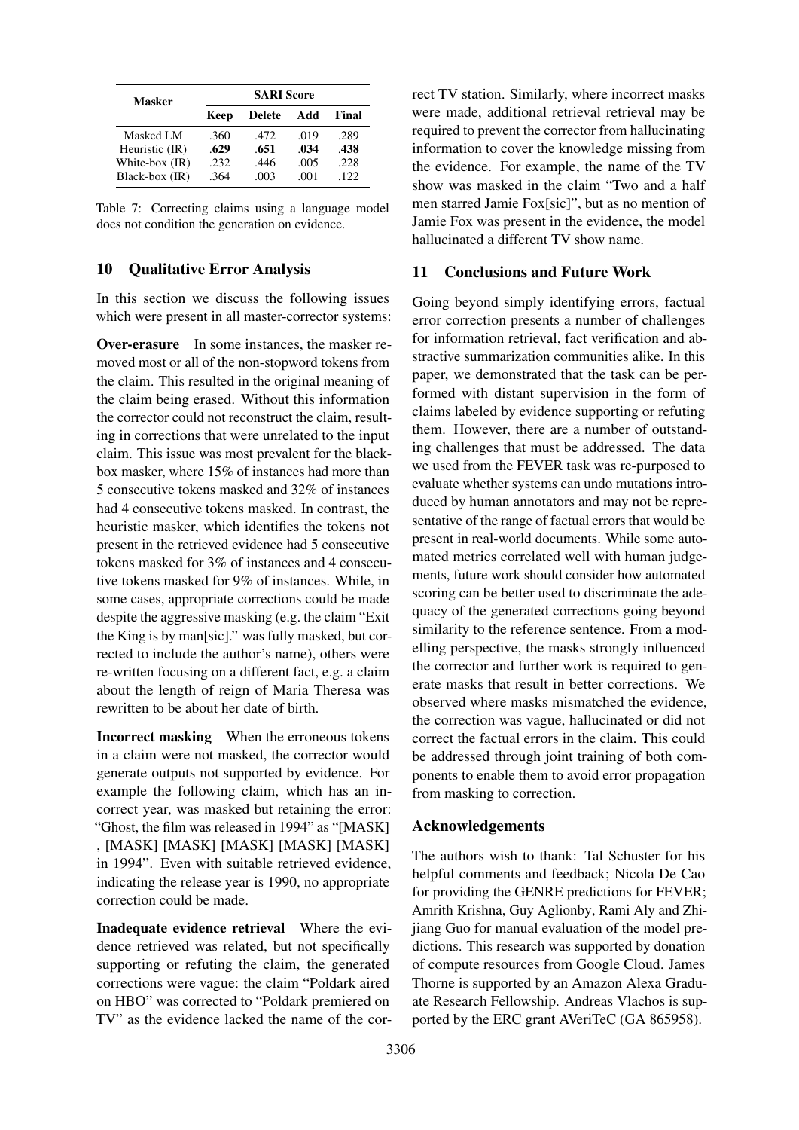<span id="page-8-0"></span>

| Masker         | <b>SARI Score</b> |               |      |       |  |
|----------------|-------------------|---------------|------|-------|--|
|                | Keep              | <b>Delete</b> | Add  | Final |  |
| Masked LM      | .360              | .472          | .019 | .289  |  |
| Heuristic (IR) | .629              | .651          | .034 | .438  |  |
| White-box (IR) | .232              | .446          | .005 | .228  |  |
| Black-box (IR) | .364              | .003          | .001 | .122. |  |

Table 7: Correcting claims using a language model does not condition the generation on evidence.

## 10 Qualitative Error Analysis

In this section we discuss the following issues which were present in all master-corrector systems:

Over-erasure In some instances, the masker removed most or all of the non-stopword tokens from the claim. This resulted in the original meaning of the claim being erased. Without this information the corrector could not reconstruct the claim, resulting in corrections that were unrelated to the input claim. This issue was most prevalent for the blackbox masker, where 15% of instances had more than 5 consecutive tokens masked and 32% of instances had 4 consecutive tokens masked. In contrast, the heuristic masker, which identifies the tokens not present in the retrieved evidence had 5 consecutive tokens masked for 3% of instances and 4 consecutive tokens masked for 9% of instances. While, in some cases, appropriate corrections could be made despite the aggressive masking (e.g. the claim "Exit the King is by man[sic]." was fully masked, but corrected to include the author's name), others were re-written focusing on a different fact, e.g. a claim about the length of reign of Maria Theresa was rewritten to be about her date of birth.

Incorrect masking When the erroneous tokens in a claim were not masked, the corrector would generate outputs not supported by evidence. For example the following claim, which has an incorrect year, was masked but retaining the error: "Ghost, the film was released in 1994" as "[MASK] , [MASK] [MASK] [MASK] [MASK] [MASK] in 1994". Even with suitable retrieved evidence, indicating the release year is 1990, no appropriate correction could be made.

Inadequate evidence retrieval Where the evidence retrieved was related, but not specifically supporting or refuting the claim, the generated corrections were vague: the claim "Poldark aired on HBO" was corrected to "Poldark premiered on TV" as the evidence lacked the name of the correct TV station. Similarly, where incorrect masks were made, additional retrieval retrieval may be required to prevent the corrector from hallucinating information to cover the knowledge missing from the evidence. For example, the name of the TV show was masked in the claim "Two and a half men starred Jamie Fox[sic]", but as no mention of Jamie Fox was present in the evidence, the model hallucinated a different TV show name.

## 11 Conclusions and Future Work

Going beyond simply identifying errors, factual error correction presents a number of challenges for information retrieval, fact verification and abstractive summarization communities alike. In this paper, we demonstrated that the task can be performed with distant supervision in the form of claims labeled by evidence supporting or refuting them. However, there are a number of outstanding challenges that must be addressed. The data we used from the FEVER task was re-purposed to evaluate whether systems can undo mutations introduced by human annotators and may not be representative of the range of factual errors that would be present in real-world documents. While some automated metrics correlated well with human judgements, future work should consider how automated scoring can be better used to discriminate the adequacy of the generated corrections going beyond similarity to the reference sentence. From a modelling perspective, the masks strongly influenced the corrector and further work is required to generate masks that result in better corrections. We observed where masks mismatched the evidence, the correction was vague, hallucinated or did not correct the factual errors in the claim. This could be addressed through joint training of both components to enable them to avoid error propagation from masking to correction.

#### Acknowledgements

The authors wish to thank: Tal Schuster for his helpful comments and feedback; Nicola De Cao for providing the GENRE predictions for FEVER; Amrith Krishna, Guy Aglionby, Rami Aly and Zhijiang Guo for manual evaluation of the model predictions. This research was supported by donation of compute resources from Google Cloud. James Thorne is supported by an Amazon Alexa Graduate Research Fellowship. Andreas Vlachos is supported by the ERC grant AVeriTeC (GA 865958).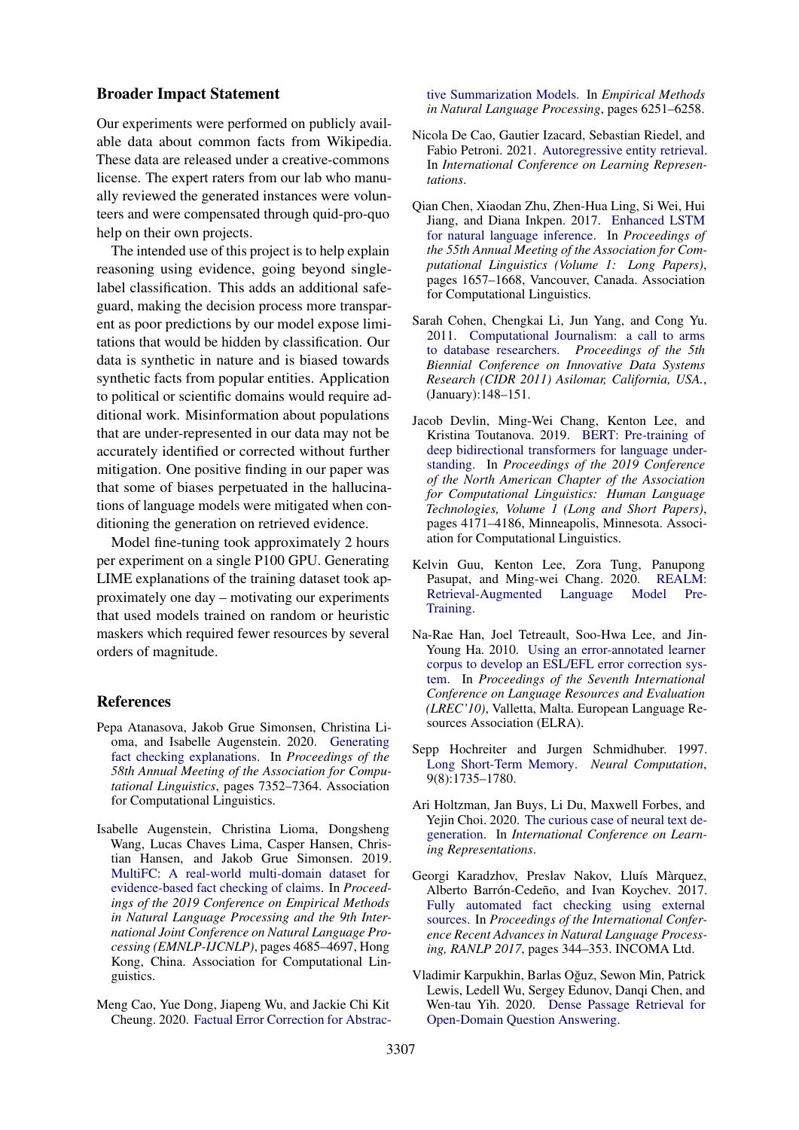#### Broader Impact Statement

Our experiments were performed on publicly available data about common facts from Wikipedia. These data are released under a creative-commons license. The expert raters from our lab who manually reviewed the generated instances were volunteers and were compensated through quid-pro-quo help on their own projects.

The intended use of this project is to help explain reasoning using evidence, going beyond singlelabel classification. This adds an additional safeguard, making the decision process more transparent as poor predictions by our model expose limitations that would be hidden by classification. Our data is synthetic in nature and is biased towards synthetic facts from popular entities. Application to political or scientific domains would require additional work. Misinformation about populations that are under-represented in our data may not be accurately identified or corrected without further mitigation. One positive finding in our paper was that some of biases perpetuated in the hallucinations of language models were mitigated when conditioning the generation on retrieved evidence.

Model fine-tuning took approximately 2 hours per experiment on a single P100 GPU. Generating LIME explanations of the training dataset took approximately one day – motivating our experiments that used models trained on random or heuristic maskers which required fewer resources by several orders of magnitude.

#### References

- <span id="page-9-2"></span>Pepa Atanasova, Jakob Grue Simonsen, Christina Lioma, and Isabelle Augenstein. 2020. [Generating](https://doi.org/10.18653/v1/2020.acl-main.656) [fact checking explanations.](https://doi.org/10.18653/v1/2020.acl-main.656) In *Proceedings of the 58th Annual Meeting of the Association for Computational Linguistics*, pages 7352–7364. Association for Computational Linguistics.
- <span id="page-9-1"></span>Isabelle Augenstein, Christina Lioma, Dongsheng Wang, Lucas Chaves Lima, Casper Hansen, Christian Hansen, and Jakob Grue Simonsen. 2019. [MultiFC: A real-world multi-domain dataset for](https://doi.org/10.18653/v1/D19-1475) [evidence-based fact checking of claims.](https://doi.org/10.18653/v1/D19-1475) In *Proceedings of the 2019 Conference on Empirical Methods in Natural Language Processing and the 9th International Joint Conference on Natural Language Processing (EMNLP-IJCNLP)*, pages 4685–4697, Hong Kong, China. Association for Computational Linguistics.
- <span id="page-9-5"></span>Meng Cao, Yue Dong, Jiapeng Wu, and Jackie Chi Kit Cheung. 2020. [Factual Error Correction for Abstrac-](https://doi.org/10.18653/v1/2020.emnlp-main.506)

[tive Summarization Models.](https://doi.org/10.18653/v1/2020.emnlp-main.506) In *Empirical Methods in Natural Language Processing*, pages 6251–6258.

- <span id="page-9-8"></span>Nicola De Cao, Gautier Izacard, Sebastian Riedel, and Fabio Petroni. 2021. [Autoregressive entity retrieval.](https://openreview.net/forum?id=5k8F6UU39V) In *International Conference on Learning Representations*.
- <span id="page-9-10"></span>Qian Chen, Xiaodan Zhu, Zhen-Hua Ling, Si Wei, Hui Jiang, and Diana Inkpen. 2017. [Enhanced LSTM](https://doi.org/10.18653/v1/P17-1152) [for natural language inference.](https://doi.org/10.18653/v1/P17-1152) In *Proceedings of the 55th Annual Meeting of the Association for Computational Linguistics (Volume 1: Long Papers)*, pages 1657–1668, Vancouver, Canada. Association for Computational Linguistics.
- <span id="page-9-3"></span>Sarah Cohen, Chengkai Li, Jun Yang, and Cong Yu. 2011. [Computational Journalism: a call to arms](http://static.googleusercontent.com/external_content/untrusted_dlcp/research.google.com/en//pubs/archive/37381.pdf) [to database researchers.](http://static.googleusercontent.com/external_content/untrusted_dlcp/research.google.com/en//pubs/archive/37381.pdf) *Proceedings of the 5th Biennial Conference on Innovative Data Systems Research (CIDR 2011) Asilomar, California, USA.*, (January):148–151.
- <span id="page-9-11"></span>Jacob Devlin, Ming-Wei Chang, Kenton Lee, and Kristina Toutanova. 2019. [BERT: Pre-training of](https://doi.org/10.18653/v1/N19-1423) [deep bidirectional transformers for language under](https://doi.org/10.18653/v1/N19-1423)[standing.](https://doi.org/10.18653/v1/N19-1423) In *Proceedings of the 2019 Conference of the North American Chapter of the Association for Computational Linguistics: Human Language Technologies, Volume 1 (Long and Short Papers)*, pages 4171–4186, Minneapolis, Minnesota. Association for Computational Linguistics.
- <span id="page-9-6"></span>Kelvin Guu, Kenton Lee, Zora Tung, Panupong Pasupat, and Ming-wei Chang. 2020. [REALM:](https://arxiv.org/abs/2002.08909) [Retrieval-Augmented Language Model Pre-](https://arxiv.org/abs/2002.08909)[Training.](https://arxiv.org/abs/2002.08909)
- <span id="page-9-4"></span>Na-Rae Han, Joel Tetreault, Soo-Hwa Lee, and Jin-Young Ha. 2010. [Using an error-annotated learner](http://www.lrec-conf.org/proceedings/lrec2010/pdf/821_Paper.pdf) [corpus to develop an ESL/EFL error correction sys](http://www.lrec-conf.org/proceedings/lrec2010/pdf/821_Paper.pdf)[tem.](http://www.lrec-conf.org/proceedings/lrec2010/pdf/821_Paper.pdf) In *Proceedings of the Seventh International Conference on Language Resources and Evaluation (LREC'10)*, Valletta, Malta. European Language Resources Association (ELRA).
- <span id="page-9-12"></span>Sepp Hochreiter and Jurgen Schmidhuber. 1997. [Long Short-Term Memory.](https://doi.org/10.1162/neco.1997.9.8.1735) *Neural Computation*, 9(8):1735–1780.
- <span id="page-9-7"></span>Ari Holtzman, Jan Buys, Li Du, Maxwell Forbes, and Yejin Choi. 2020. [The curious case of neural text de](https://openreview.net/forum?id=rygGQyrFvH)[generation.](https://openreview.net/forum?id=rygGQyrFvH) In *International Conference on Learning Representations*.
- <span id="page-9-0"></span>Georgi Karadzhov, Preslav Nakov, Lluís Màrquez, Alberto Barrón-Cedeño, and Ivan Koychev. 2017. [Fully automated fact checking using external](https://doi.org/10.26615/978-954-452-049-6_046) [sources.](https://doi.org/10.26615/978-954-452-049-6_046) In *Proceedings of the International Conference Recent Advances in Natural Language Processing, RANLP 2017*, pages 344–353. INCOMA Ltd.
- <span id="page-9-9"></span>Vladimir Karpukhin, Barlas Oguz, Sewon Min, Patrick ˘ Lewis, Ledell Wu, Sergey Edunov, Danqi Chen, and Wen-tau Yih. 2020. [Dense Passage Retrieval for](http://arxiv.org/abs/2004.04906) [Open-Domain Question Answering.](http://arxiv.org/abs/2004.04906)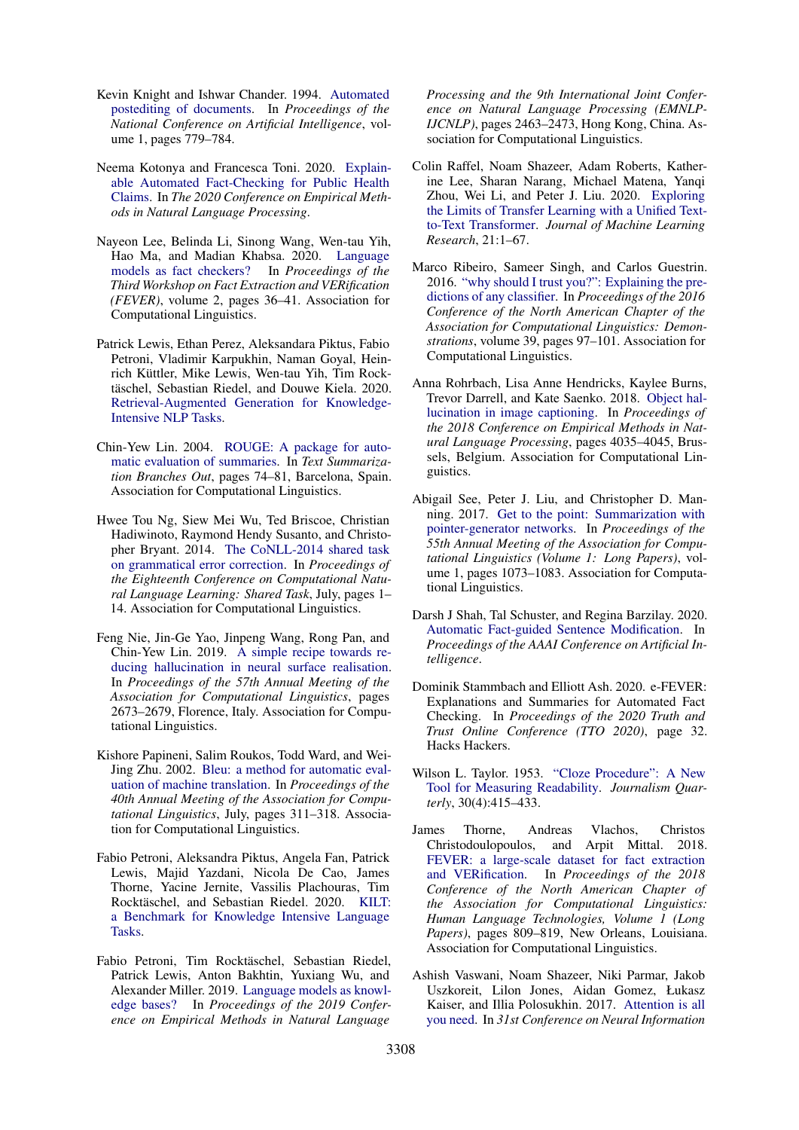- <span id="page-10-4"></span>Kevin Knight and Ishwar Chander. 1994. [Automated](https://www.aaai.org/Papers/AAAI/1994/AAAI94-119.pdf) [postediting of documents.](https://www.aaai.org/Papers/AAAI/1994/AAAI94-119.pdf) In *Proceedings of the National Conference on Artificial Intelligence*, volume 1, pages 779–784.
- <span id="page-10-2"></span>Neema Kotonya and Francesca Toni. 2020. [Explain](http://arxiv.org/abs/2010.09926)[able Automated Fact-Checking for Public Health](http://arxiv.org/abs/2010.09926) [Claims.](http://arxiv.org/abs/2010.09926) In *The 2020 Conference on Empirical Methods in Natural Language Processing*.
- <span id="page-10-8"></span>Nayeon Lee, Belinda Li, Sinong Wang, Wen-tau Yih, Hao Ma, and Madian Khabsa. 2020. [Language](https://doi.org/10.18653/v1/2020.fever-1.5) [models as fact checkers?](https://doi.org/10.18653/v1/2020.fever-1.5) In *Proceedings of the Third Workshop on Fact Extraction and VERification (FEVER)*, volume 2, pages 36–41. Association for Computational Linguistics.
- <span id="page-10-11"></span>Patrick Lewis, Ethan Perez, Aleksandara Piktus, Fabio Petroni, Vladimir Karpukhin, Naman Goyal, Heinrich Küttler, Mike Lewis, Wen-tau Yih, Tim Rocktäschel, Sebastian Riedel, and Douwe Kiela. 2020. [Retrieval-Augmented Generation for Knowledge-](http://arxiv.org/abs/2005.11401)[Intensive NLP Tasks.](http://arxiv.org/abs/2005.11401)
- <span id="page-10-18"></span>Chin-Yew Lin. 2004. [ROUGE: A package for auto](https://doi.org/10.1253/jcj.34.1213)[matic evaluation of summaries.](https://doi.org/10.1253/jcj.34.1213) In *Text Summarization Branches Out*, pages 74–81, Barcelona, Spain. Association for Computational Linguistics.
- <span id="page-10-5"></span>Hwee Tou Ng, Siew Mei Wu, Ted Briscoe, Christian Hadiwinoto, Raymond Hendy Susanto, and Christopher Bryant. 2014. [The CoNLL-2014 shared task](https://doi.org/10.3115/v1/W14-1701) [on grammatical error correction.](https://doi.org/10.3115/v1/W14-1701) In *Proceedings of the Eighteenth Conference on Computational Natural Language Learning: Shared Task*, July, pages 1– 14. Association for Computational Linguistics.
- <span id="page-10-9"></span>Feng Nie, Jin-Ge Yao, Jinpeng Wang, Rong Pan, and Chin-Yew Lin. 2019. [A simple recipe towards re](https://doi.org/10.18653/v1/P19-1256)[ducing hallucination in neural surface realisation.](https://doi.org/10.18653/v1/P19-1256) In *Proceedings of the 57th Annual Meeting of the Association for Computational Linguistics*, pages 2673–2679, Florence, Italy. Association for Computational Linguistics.
- <span id="page-10-17"></span>Kishore Papineni, Salim Roukos, Todd Ward, and Wei-Jing Zhu. 2002. [Bleu: a method for automatic eval](https://doi.org/10.3115/1073083.1073135)[uation of machine translation.](https://doi.org/10.3115/1073083.1073135) In *Proceedings of the 40th Annual Meeting of the Association for Computational Linguistics*, July, pages 311–318. Association for Computational Linguistics.
- <span id="page-10-12"></span>Fabio Petroni, Aleksandra Piktus, Angela Fan, Patrick Lewis, Majid Yazdani, Nicola De Cao, James Thorne, Yacine Jernite, Vassilis Plachouras, Tim Rocktäschel, and Sebastian Riedel. 2020. [KILT:](http://arxiv.org/abs/2009.02252) [a Benchmark for Knowledge Intensive Language](http://arxiv.org/abs/2009.02252) [Tasks.](http://arxiv.org/abs/2009.02252)
- <span id="page-10-6"></span>Fabio Petroni, Tim Rocktäschel, Sebastian Riedel, Patrick Lewis, Anton Bakhtin, Yuxiang Wu, and Alexander Miller. 2019. [Language models as knowl](https://doi.org/10.18653/v1/D19-1250)[edge bases?](https://doi.org/10.18653/v1/D19-1250) In *Proceedings of the 2019 Conference on Empirical Methods in Natural Language*

*Processing and the 9th International Joint Conference on Natural Language Processing (EMNLP-IJCNLP)*, pages 2463–2473, Hong Kong, China. Association for Computational Linguistics.

- <span id="page-10-14"></span>Colin Raffel, Noam Shazeer, Adam Roberts, Katherine Lee, Sharan Narang, Michael Matena, Yanqi Zhou, Wei Li, and Peter J. Liu. 2020. [Exploring](http://arxiv.org/abs/1910.10683) [the Limits of Transfer Learning with a Unified Text](http://arxiv.org/abs/1910.10683)[to-Text Transformer.](http://arxiv.org/abs/1910.10683) *Journal of Machine Learning Research*, 21:1–67.
- <span id="page-10-13"></span>Marco Ribeiro, Sameer Singh, and Carlos Guestrin. 2016. ["why should I trust you?": Explaining the pre](https://doi.org/10.18653/v1/N16-3020)[dictions of any classifier.](https://doi.org/10.18653/v1/N16-3020) In *Proceedings of the 2016 Conference of the North American Chapter of the Association for Computational Linguistics: Demonstrations*, volume 39, pages 97–101. Association for Computational Linguistics.
- <span id="page-10-10"></span>Anna Rohrbach, Lisa Anne Hendricks, Kaylee Burns, Trevor Darrell, and Kate Saenko. 2018. [Object hal](https://doi.org/10.18653/v1/D18-1437)[lucination in image captioning.](https://doi.org/10.18653/v1/D18-1437) In *Proceedings of the 2018 Conference on Empirical Methods in Natural Language Processing*, pages 4035–4045, Brussels, Belgium. Association for Computational Linguistics.
- <span id="page-10-15"></span>Abigail See, Peter J. Liu, and Christopher D. Manning. 2017. [Get to the point: Summarization with](https://doi.org/10.18653/v1/P17-1099) [pointer-generator networks.](https://doi.org/10.18653/v1/P17-1099) In *Proceedings of the 55th Annual Meeting of the Association for Computational Linguistics (Volume 1: Long Papers)*, volume 1, pages 1073–1083. Association for Computational Linguistics.
- <span id="page-10-3"></span>Darsh J Shah, Tal Schuster, and Regina Barzilay. 2020. [Automatic Fact-guided Sentence Modification.](http://arxiv.org/abs/1909.13838) In *Proceedings of the AAAI Conference on Artificial Intelligence*.
- <span id="page-10-1"></span>Dominik Stammbach and Elliott Ash. 2020. e-FEVER: Explanations and Summaries for Automated Fact Checking. In *Proceedings of the 2020 Truth and Trust Online Conference (TTO 2020)*, page 32. Hacks Hackers.
- <span id="page-10-7"></span>Wilson L. Taylor. 1953. ["Cloze Procedure": A New](https://doi.org/10.1177/107769905303000401) [Tool for Measuring Readability.](https://doi.org/10.1177/107769905303000401) *Journalism Quarterly*, 30(4):415–433.
- <span id="page-10-0"></span>James Thorne, Andreas Vlachos, Christos Christodoulopoulos, and Arpit Mittal. 2018. [FEVER: a large-scale dataset for fact extraction](https://doi.org/10.18653/v1/N18-1074) [and VERification.](https://doi.org/10.18653/v1/N18-1074) In *Proceedings of the 2018 Conference of the North American Chapter of the Association for Computational Linguistics: Human Language Technologies, Volume 1 (Long Papers)*, pages 809–819, New Orleans, Louisiana. Association for Computational Linguistics.
- <span id="page-10-16"></span>Ashish Vaswani, Noam Shazeer, Niki Parmar, Jakob Uszkoreit, Lilon Jones, Aidan Gomez, Łukasz Kaiser, and Illia Polosukhin. 2017. [Attention is all](https://doi.org/10.1017/S0140525X16001837) [you need.](https://doi.org/10.1017/S0140525X16001837) In *31st Conference on Neural Information*